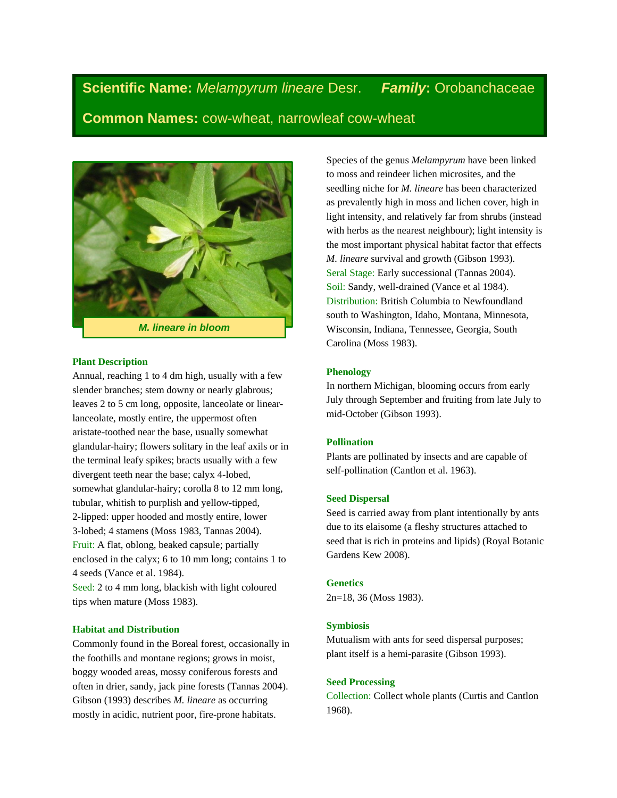**Scientific Name:** *Melampyrum lineare* Desr.*Family***:** Orobanchaceae **Common Names:** cow-wheat, narrowleaf cow-wheat



## **Plant Description**

Annual, reaching 1 to 4 dm high, usually with a few slender branches; stem downy or nearly glabrous; leaves 2 to 5 cm long, opposite, lanceolate or linearlanceolate, mostly entire, the uppermost often aristate-toothed near the base, usually somewhat glandular-hairy; flowers solitary in the leaf axils or in the terminal leafy spikes; bracts usually with a few divergent teeth near the base; calyx 4-lobed, somewhat glandular-hairy; corolla 8 to 12 mm long, tubular, whitish to purplish and yellow-tipped, 2-lipped: upper hooded and mostly entire, lower 3-lobed; 4 stamens (Moss 1983, Tannas 2004). Fruit: A flat, oblong, beaked capsule; partially enclosed in the calyx; 6 to 10 mm long; contains 1 to 4 seeds (Vance et al. 1984).

Seed: 2 to 4 mm long, blackish with light coloured tips when mature (Moss 1983).

#### **Habitat and Distribution**

Commonly found in the Boreal forest, occasionally in the foothills and montane regions; grows in moist, boggy wooded areas, mossy coniferous forests and often in drier, sandy, jack pine forests (Tannas 2004). Gibson (1993) describes *M. lineare* as occurring mostly in acidic, nutrient poor, fire-prone habitats.

Species of the genus *Melampyrum* have been linked to moss and reindeer lichen microsites, and the seedling niche for *M. lineare* has been characterized as prevalently high in moss and lichen cover, high in light intensity, and relatively far from shrubs (instead with herbs as the nearest neighbour); light intensity is the most important physical habitat factor that effects *M. lineare* survival and growth (Gibson 1993). Seral Stage: Early successional (Tannas 2004). Soil: Sandy, well-drained (Vance et al 1984). Distribution: British Columbia to Newfoundland south to Washington, Idaho, Montana, Minnesota, Wisconsin, Indiana, Tennessee, Georgia, South Carolina (Moss 1983).

#### **Phenology**

In northern Michigan, blooming occurs from early July through September and fruiting from late July to mid-October (Gibson 1993).

#### **Pollination**

Plants are pollinated by insects and are capable of self-pollination (Cantlon et al. 1963).

#### **Seed Dispersal**

Seed is carried away from plant intentionally by ants due to its elaisome (a fleshy structures attached to seed that is rich in proteins and lipids) (Royal Botanic Gardens Kew 2008).

#### **Genetics**

2n=18, 36 (Moss 1983).

#### **Symbiosis**

Mutualism with ants for seed dispersal purposes; plant itself is a hemi-parasite (Gibson 1993).

#### **Seed Processing**

Collection: Collect whole plants (Curtis and Cantlon 1968).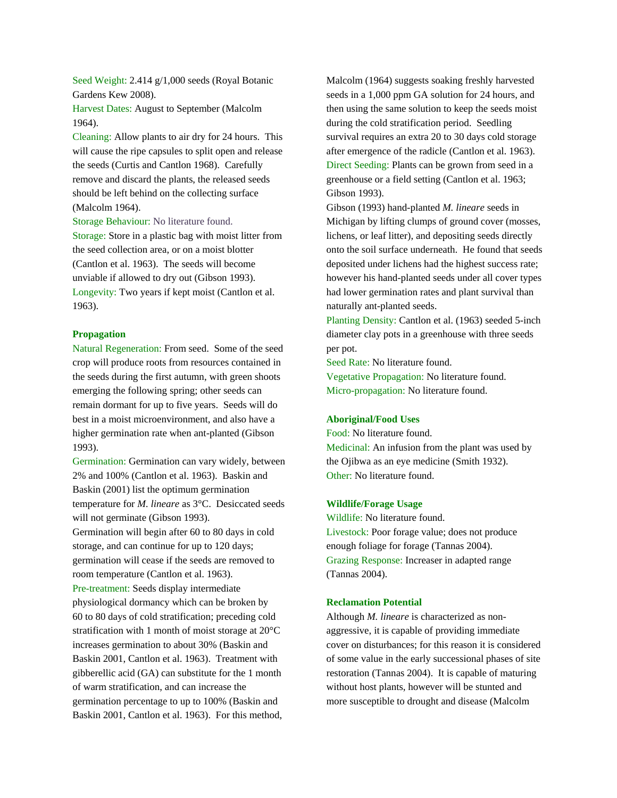Seed Weight: 2.414 g/1,000 seeds (Royal Botanic Gardens Kew 2008).

Harvest Dates: August to September (Malcolm 1964).

Cleaning: Allow plants to air dry for 24 hours. This will cause the ripe capsules to split open and release the seeds (Curtis and Cantlon 1968). Carefully remove and discard the plants, the released seeds should be left behind on the collecting surface (Malcolm 1964).

Storage Behaviour: No literature found.

Storage: Store in a plastic bag with moist litter from the seed collection area, or on a moist blotter (Cantlon et al. 1963). The seeds will become unviable if allowed to dry out (Gibson 1993). Longevity: Two years if kept moist (Cantlon et al. 1963).

#### **Propagation**

Natural Regeneration: From seed. Some of the seed crop will produce roots from resources contained in the seeds during the first autumn, with green shoots emerging the following spring; other seeds can remain dormant for up to five years. Seeds will do best in a moist microenvironment, and also have a higher germination rate when ant-planted (Gibson 1993).

Germination: Germination can vary widely, between 2% and 100% (Cantlon et al. 1963). Baskin and Baskin (2001) list the optimum germination temperature for *M. lineare* as 3°C. Desiccated seeds will not germinate (Gibson 1993).

Germination will begin after 60 to 80 days in cold storage, and can continue for up to 120 days; germination will cease if the seeds are removed to room temperature (Cantlon et al. 1963).

Pre-treatment: Seeds display intermediate physiological dormancy which can be broken by 60 to 80 days of cold stratification; preceding cold stratification with 1 month of moist storage at 20°C increases germination to about 30% (Baskin and Baskin 2001, Cantlon et al. 1963). Treatment with gibberellic acid (GA) can substitute for the 1 month of warm stratification, and can increase the germination percentage to up to 100% (Baskin and Baskin 2001, Cantlon et al. 1963). For this method, Malcolm (1964) suggests soaking freshly harvested seeds in a 1,000 ppm GA solution for 24 hours, and then using the same solution to keep the seeds moist during the cold stratification period. Seedling survival requires an extra 20 to 30 days cold storage after emergence of the radicle (Cantlon et al. 1963). Direct Seeding: Plants can be grown from seed in a greenhouse or a field setting (Cantlon et al. 1963; Gibson 1993).

Gibson (1993) hand-planted *M. lineare* seeds in Michigan by lifting clumps of ground cover (mosses, lichens, or leaf litter), and depositing seeds directly onto the soil surface underneath. He found that seeds deposited under lichens had the highest success rate; however his hand-planted seeds under all cover types had lower germination rates and plant survival than naturally ant-planted seeds.

Planting Density: Cantlon et al. (1963) seeded 5-inch diameter clay pots in a greenhouse with three seeds per pot.

Seed Rate: No literature found. Vegetative Propagation: No literature found. Micro-propagation: No literature found.

#### **Aboriginal/Food Uses**

Food: No literature found. Medicinal: An infusion from the plant was used by the Ojibwa as an eye medicine (Smith 1932). Other: No literature found.

# **Wildlife/Forage Usage**

Wildlife: No literature found. Livestock: Poor forage value; does not produce enough foliage for forage (Tannas 2004). Grazing Response: Increaser in adapted range (Tannas 2004).

#### **Reclamation Potential**

Although *M. lineare* is characterized as nonaggressive, it is capable of providing immediate cover on disturbances; for this reason it is considered of some value in the early successional phases of site restoration (Tannas 2004). It is capable of maturing without host plants, however will be stunted and more susceptible to drought and disease (Malcolm